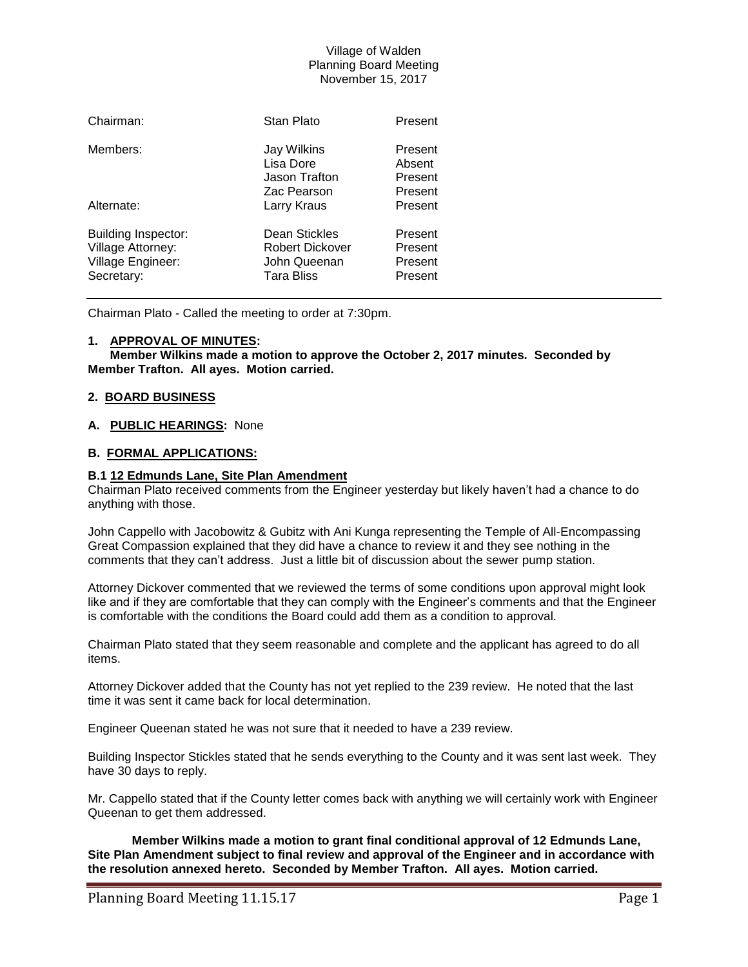# Village of Walden Planning Board Meeting November 15, 2017

| Chairman:                                                                          | Stan Plato                                                            | Present                                  |
|------------------------------------------------------------------------------------|-----------------------------------------------------------------------|------------------------------------------|
| Members:                                                                           | Jay Wilkins<br>Lisa Dore<br>Jason Trafton<br>Zac Pearson              | Present<br>Absent<br>Present<br>Present  |
| Alternate:                                                                         | Larry Kraus                                                           | Present                                  |
| <b>Building Inspector:</b><br>Village Attorney:<br>Village Engineer:<br>Secretary: | Dean Stickles<br>Robert Dickover<br>John Queenan<br><b>Tara Bliss</b> | Present<br>Present<br>Present<br>Present |

Chairman Plato - Called the meeting to order at 7:30pm.

#### **1. APPROVAL OF MINUTES:**

**Member Wilkins made a motion to approve the October 2, 2017 minutes. Seconded by Member Trafton. All ayes. Motion carried.**

### **2. BOARD BUSINESS**

#### **A. PUBLIC HEARINGS:** None

## **B. FORMAL APPLICATIONS:**

#### **B.1 12 Edmunds Lane, Site Plan Amendment**

Chairman Plato received comments from the Engineer yesterday but likely haven't had a chance to do anything with those.

John Cappello with Jacobowitz & Gubitz with Ani Kunga representing the Temple of All-Encompassing Great Compassion explained that they did have a chance to review it and they see nothing in the comments that they can't address. Just a little bit of discussion about the sewer pump station.

Attorney Dickover commented that we reviewed the terms of some conditions upon approval might look like and if they are comfortable that they can comply with the Engineer's comments and that the Engineer is comfortable with the conditions the Board could add them as a condition to approval.

Chairman Plato stated that they seem reasonable and complete and the applicant has agreed to do all items.

Attorney Dickover added that the County has not yet replied to the 239 review. He noted that the last time it was sent it came back for local determination.

Engineer Queenan stated he was not sure that it needed to have a 239 review.

Building Inspector Stickles stated that he sends everything to the County and it was sent last week. They have 30 days to reply.

Mr. Cappello stated that if the County letter comes back with anything we will certainly work with Engineer Queenan to get them addressed.

**Member Wilkins made a motion to grant final conditional approval of 12 Edmunds Lane, Site Plan Amendment subject to final review and approval of the Engineer and in accordance with the resolution annexed hereto. Seconded by Member Trafton. All ayes. Motion carried.**